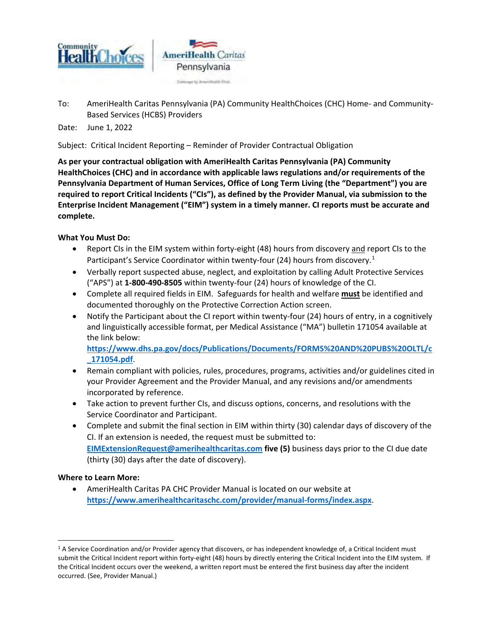

To: AmeriHealth Caritas Pennsylvania (PA) Community HealthChoices (CHC) Home- and Community-Based Services (HCBS) Providers

Date: June 1, 2022

Subject: Critical Incident Reporting – Reminder of Provider Contractual Obligation

**As per your contractual obligation with AmeriHealth Caritas Pennsylvania (PA) Community HealthChoices (CHC) and in accordance with applicable laws regulations and/or requirements of the Pennsylvania Department of Human Services, Office of Long Term Living (the "Department") you are required to report Critical Incidents ("CIs"), as defined by the Provider Manual, via submission to the Enterprise Incident Management ("EIM") system in a timely manner. CI reports must be accurate and complete.** 

## **What You Must Do:**

- Report CIs in the EIM system within forty-eight (48) hours from discovery and report CIs to the Participant's Service Coordinator within twenty-four (24) hours from discovery.<sup>[1](#page-0-0)</sup>
- Verbally report suspected abuse, neglect, and exploitation by calling Adult Protective Services ("APS") at **1-800-490-8505** within twenty-four (24) hours of knowledge of the CI.
- Complete all required fields in EIM. Safeguards for health and welfare **must** be identified and documented thoroughly on the Protective Correction Action screen.
- Notify the Participant about the CI report within twenty-four (24) hours of entry, in a cognitively and linguistically accessible format, per Medical Assistance ("MA") bulletin 171054 available at the link below:

**[https://www.dhs.pa.gov/docs/Publications/Documents/FORMS%20AND%20PUBS%20OLTL/c](https://www.dhs.pa.gov/docs/Publications/Documents/FORMS%20AND%20PUBS%20OLTL/c_171054.pdf) [\\_171054.pdf](https://www.dhs.pa.gov/docs/Publications/Documents/FORMS%20AND%20PUBS%20OLTL/c_171054.pdf)**.

- Remain compliant with policies, rules, procedures, programs, activities and/or guidelines cited in your Provider Agreement and the Provider Manual, and any revisions and/or amendments incorporated by reference.
- Take action to prevent further CIs, and discuss options, concerns, and resolutions with the Service Coordinator and Participant.
- Complete and submit the final section in EIM within thirty (30) calendar days of discovery of the CI. If an extension is needed, the request must be submitted to: **[EIMExtensionRequest@amerihealthcaritas.com](mailto:EIMExtensionRequest@amerihealthcaritas.com) five (5)** business days prior to the CI due date (thirty (30) days after the date of discovery).

## **Where to Learn More:**

 $\overline{a}$ 

• AmeriHealth Caritas PA CHC Provider Manual is located on our website at **<https://www.amerihealthcaritaschc.com/provider/manual-forms/index.aspx>**.

<span id="page-0-0"></span><sup>&</sup>lt;sup>1</sup> A Service Coordination and/or Provider agency that discovers, or has independent knowledge of, a Critical Incident must submit the Critical Incident report within forty-eight (48) hours by directly entering the Critical Incident into the EIM system. If the Critical Incident occurs over the weekend, a written report must be entered the first business day after the incident occurred. (See, Provider Manual.)